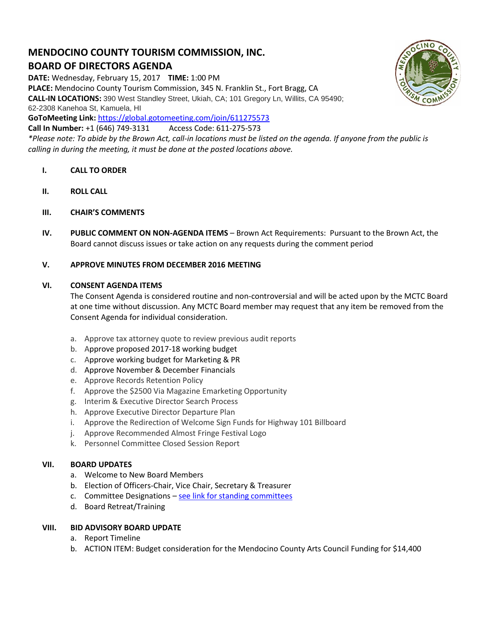# **MENDOCINO COUNTY TOURISM COMMISSION, INC. BOARD OF DIRECTORS AGENDA**

**DATE:** Wednesday, February 15, 2017 **TIME:** 1:00 PM

**PLACE:** Mendocino County Tourism Commission, 345 N. Franklin St., Fort Bragg, CA

**CALL-IN LOCATIONS:** 390 West Standley Street, Ukiah, CA; 101 Gregory Ln, Willits, CA 95490; 62-2308 Kanehoa St, Kamuela, HI

**GoToMeeting Link:** <https://global.gotomeeting.com/join/611275573>

**Call In Number:** +1 (646) 749-3131 Access Code: 611-275-573

*\*Please note: To abide by the Brown Act, call-in locations must be listed on the agenda. If anyone from the public is calling in during the meeting, it must be done at the posted locations above.*

- **I. CALL TO ORDER**
- **II. ROLL CALL**
- **III. CHAIR'S COMMENTS**
- **IV. PUBLIC COMMENT ON NON-AGENDA ITEMS** Brown Act Requirements: Pursuant to the Brown Act, the Board cannot discuss issues or take action on any requests during the comment period

## **V. APPROVE MINUTES FROM DECEMBER 2016 MEETING**

#### **VI. CONSENT AGENDA ITEMS**

The Consent Agenda is considered routine and non-controversial and will be acted upon by the MCTC Board at one time without discussion. Any MCTC Board member may request that any item be removed from the Consent Agenda for individual consideration.

- a. Approve tax attorney quote to review previous audit reports
- b. Approve proposed 2017-18 working budget
- c. Approve working budget for Marketing & PR
- d. Approve November & December Financials
- e. Approve Records Retention Policy
- f. Approve the \$2500 Via Magazine Emarketing Opportunity
- g. Interim & Executive Director Search Process
- h. Approve Executive Director Departure Plan
- i. Approve the Redirection of Welcome Sign Funds for Highway 101 Billboard
- j. Approve Recommended Almost Fringe Festival Logo
- k. Personnel Committee Closed Session Report

#### **VII. BOARD UPDATES**

- a. Welcome to New Board Members
- b. Election of Officers-Chair, Vice Chair, Secretary & Treasurer
- c. Committee Designations [see link for standing committees](http://mendocinotourism.org/committees/)
- d. Board Retreat/Training

#### **VIII. BID ADVISORY BOARD UPDATE**

- a. Report Timeline
- b. ACTION ITEM: Budget consideration for the Mendocino County Arts Council Funding for \$14,400